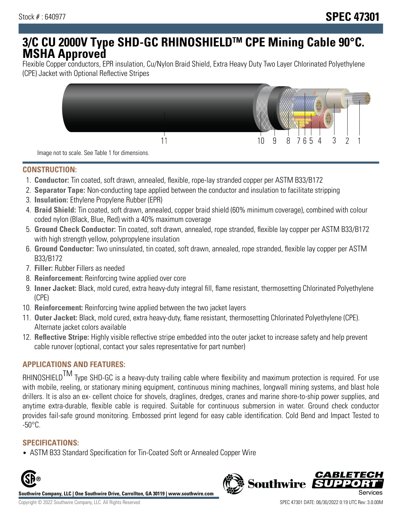# **3/C CU 2000V Type SHD-GC RHINOSHIELDTM CPE Mining Cable 90°C. MSHA Approved**

Flexible Copper conductors, EPR insulation, Cu/Nylon Braid Shield, Extra Heavy Duty Two Layer Chlorinated Polyethylene (CPE) Jacket with Optional Reflective Stripes



Image not to scale. See Table 1 for dimensions.

# **CONSTRUCTION:**

- 1. **Conductor:** Tin coated, soft drawn, annealed, flexible, rope-lay stranded copper per ASTM B33/B172
- 2. **Separator Tape:** Non-conducting tape applied between the conductor and insulation to facilitate stripping
- 3. **Insulation:** Ethylene Propylene Rubber (EPR)
- 4. **Braid Shield:** Tin coated, soft drawn, annealed, copper braid shield (60% minimum coverage), combined with colour coded nylon (Black, Blue, Red) with a 40% maximum coverage
- 5. **Ground Check Conductor:** Tin coated, soft drawn, annealed, rope stranded, flexible lay copper per ASTM B33/B172 with high strength yellow, polypropylene insulation
- 6. **Ground Conductor:** Two uninsulated, tin coated, soft drawn, annealed, rope stranded, flexible lay copper per ASTM B33/B172
- 7. **Filler:** Rubber Fillers as needed
- 8. **Reinforcement:** Reinforcing twine applied over core
- 9. **Inner Jacket:** Black, mold cured, extra heavy-duty integral fill, flame resistant, thermosetting Chlorinated Polyethylene (CPE)
- 10. **Reinforcement:** Reinforcing twine applied between the two jacket layers
- 11. **Outer Jacket:** Black, mold cured, extra heavy-duty, flame resistant, thermosetting Chlorinated Polyethylene (CPE). Alternate jacket colors available
- 12. **Reflective Stripe:** Highly visible reflective stripe embedded into the outer jacket to increase safety and help prevent cable runover (optional, contact your sales representative for part number)

# **APPLICATIONS AND FEATURES:**

RHINOSHIELD<sup>TM</sup> Type SHD-GC is a heavy-duty trailing cable where flexibility and maximum protection is required. For use with mobile, reeling, or stationary mining equipment, continuous mining machines, longwall mining systems, and blast hole drillers. It is also an ex- cellent choice for shovels, draglines, dredges, cranes and marine shore-to-ship power supplies, and anytime extra-durable, flexible cable is required. Suitable for continuous submersion in water. Ground check conductor provides fail-safe ground monitoring. Embossed print legend for easy cable identification. Cold Bend and Impact Tested to -50°C.

### **SPECIFICATIONS:**

• ASTM B33 Standard Specification for Tin-Coated Soft or Annealed Copper Wire



**Southwire Company, LLC | One Southwire Drive, Carrollton, GA 30119 | www.southwire.com**

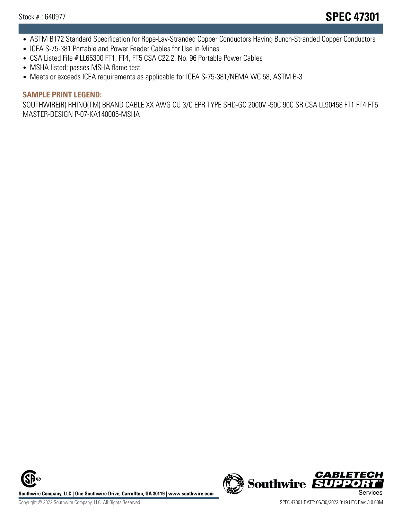- ASTM B172 Standard Specification for Rope-Lay-Stranded Copper Conductors Having Bunch-Stranded Copper Conductors
- ICEA S-75-381 Portable and Power Feeder Cables for Use in Mines
- CSA Listed File # LL65300 FT1, FT4, FT5 CSA C22.2, No. 96 Portable Power Cables
- MSHA listed: passes MSHA flame test
- Meets or exceeds ICEA requirements as applicable for ICEA S-75-381/NEMA WC 58, ASTM B-3

#### **SAMPLE PRINT LEGEND:**

SOUTHWIRE(R) RHINO(TM) BRAND CABLE XX AWG CU 3/C EPR TYPE SHD-GC 2000V -50C 90C SR CSA LL90458 FT1 FT4 FT5 MASTER-DESIGN P-07-KA140005-MSHA

**Southwire Company, LLC | One Southwire Drive, Carrollton, GA 30119 | www.southwire.com**